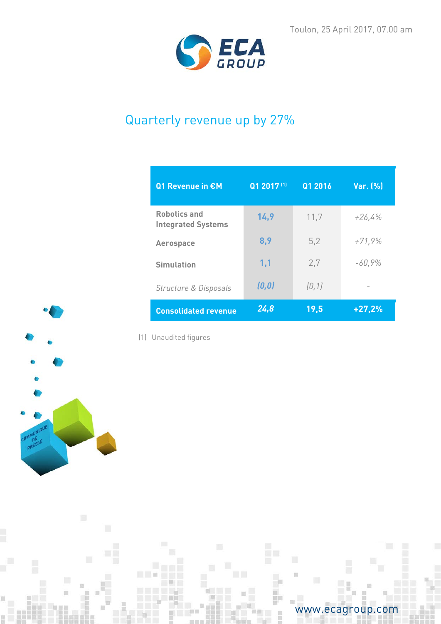

# Quarterly revenue up by 27%

| Q1 Revenue in €M                                 | Q1 2017 (1) | Q1 2016 | Var. (%) |
|--------------------------------------------------|-------------|---------|----------|
| <b>Robotics and</b><br><b>Integrated Systems</b> | 14,9        | 11,7    | $+26,4%$ |
| <b>Aerospace</b>                                 | 8,9         | 5,2     | $+71,9%$ |
| <b>Simulation</b>                                | 1,1         | 2.7     | $-60,9%$ |
| Structure & Disposals                            | (0, 0)      | [0, 1]  |          |
| <b>Consolidated revenue</b>                      | 24,8        | 19,5    | $+27,2%$ |



ū

(1) Unaudited figures

 $\Box$ 



Ë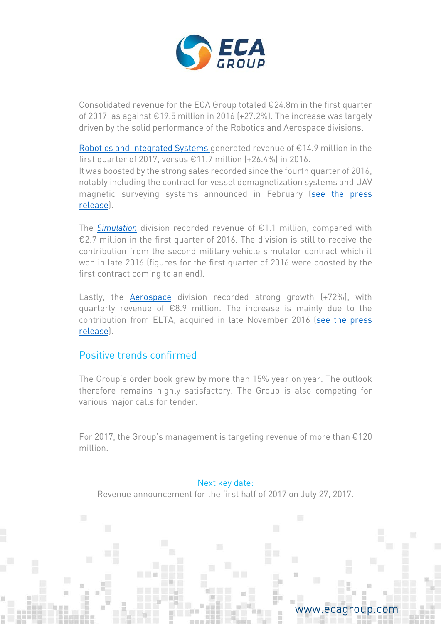

Consolidated revenue for the ECA Group totaled €24.8m in the first quarter of 2017, as against €19.5 million in 2016 (+27.2%). The increase was largely driven by the solid performance of the Robotics and Aerospace divisions.

[Robotics and Integrated Systems g](http://www.ecagroup.com/en/robotic-and-integrated-systems)enerated revenue of €14.9 million in the first quarter of 2017, versus  $£11.7$  million  $[+26.4\%]$  in 2016. It was boosted by the strong sales recorded since the fourth quarter of 2016, notably including the contract for vessel demagnetization systems and UAV magnetic surveying systems announced in February [\(see the press](http://www.ecagroup.com/en/financial/eca-group-awarded-contract-asian-mod-degaussing-uav-it180-based-magnetic-ranging-system)  [release\)](http://www.ecagroup.com/en/financial/eca-group-awarded-contract-asian-mod-degaussing-uav-it180-based-magnetic-ranging-system).

The *[Simulation](http://www.ecagroup.com/en/training-simulation)* division recorded revenue of €1.1 million, compared with €2.7 million in the first quarter of 2016. The division is still to receive the contribution from the second military vehicle simulator contract which it won in late 2016 (figures for the first quarter of 2016 were boosted by the first contract coming to an end).

Lastly, the [Aerospace](http://www.ecagroup.com/en/aerospace) division recorded strong growth (+72%), with quarterly revenue of €8.9 million. The increase is mainly due to the contribution from ELTA, acquired in late November 2016 [\(see the press](http://www.ecagroup.com/en/financial/eca-group-strengthens-its-aerospace-division-acquisition-elta)  [release\)](http://www.ecagroup.com/en/financial/eca-group-strengthens-its-aerospace-division-acquisition-elta).

## Positive trends confirmed

The Group's order book grew by more than 15% year on year. The outlook therefore remains highly satisfactory. The Group is also competing for various major calls for tender.

For 2017, the Group's management is targeting revenue of more than €120 million.

### Next key date:

Revenue announcement for the first half of 2017 on July 27, 2017.